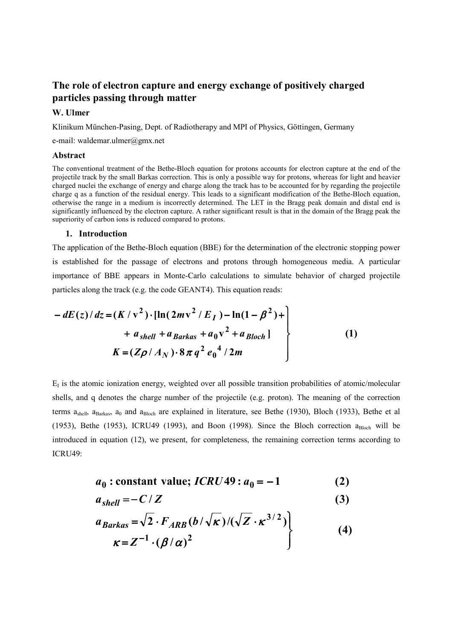## **The role of electron capture and energy exchange of positively charged particles passing through matter**

## **W. Ulmer**

Klinikum München-Pasing, Dept. of Radiotherapy and MPI of Physics, Göttingen, Germany

e-mail: waldemar.ulmer@gmx.net

## **Abstract**

The conventional treatment of the Bethe-Bloch equation for protons accounts for electron capture at the end of the projectile track by the small Barkas correction. This is only a possible way for protons, whereas for light and heavier charged nuclei the exchange of energy and charge along the track has to be accounted for by regarding the projectile charge q as a function of the residual energy. This leads to a significant modification of the Bethe-Bloch equation, otherwise the range in a medium is incorrectly determined. The LET in the Bragg peak domain and distal end is significantly influenced by the electron capture. A rather significant result is that in the domain of the Bragg peak the superiority of carbon ions is reduced compared to protons.

### **1. Introduction**

The application of the Bethe-Bloch equation (BBE) for the determination of the electronic stopping power is established for the passage of electrons and protons through homogeneous media. A particular importance of BBE appears in Monte-Carlo calculations to simulate behavior of charged projectile particles along the track (e.g. the code GEANT4). This equation reads:

$$
- dE(z)/dz = (K/v^2) \cdot [\ln(2mv^2/E_I) - \ln(1 - \beta^2) ++ a_{shell} + a_{Barkas} + a_0 v^2 + a_{Bloch}]
$$
  

$$
K = (Z\rho/A_N) \cdot 8 \pi q^2 e_0^4 / 2m
$$
 (1)

 $E_I$  is the atomic ionization energy, weighted over all possible transition probabilities of atomic/molecular shells, and q denotes the charge number of the projectile (e.g. proton). The meaning of the correction terms  $a<sub>shell</sub>$ ,  $a<sub>Barkas</sub>$ ,  $a<sub>0</sub>$  and  $a<sub>Bloch</sub>$  are explained in literature, see Bethe (1930), Bloch (1933), Bethe et al (1953), Bethe (1953), ICRU49 (1993), and Boon (1998). Since the Bloch correction  $a_{Bloch}$  will be introduced in equation (12), we present, for completeness, the remaining correction terms according to ICRU49:

$$
a_0: constant value; ICRU49: a_0 = -1 \tag{2}
$$

$$
a_{shell} = -C/Z \tag{3}
$$

$$
a_{Barkas} = \sqrt{2} \cdot F_{ARB}(b/\sqrt{\kappa})/(\sqrt{Z} \cdot \kappa^{3/2})
$$
  

$$
\kappa = Z^{-1} \cdot (\beta/\alpha)^2
$$
 (4)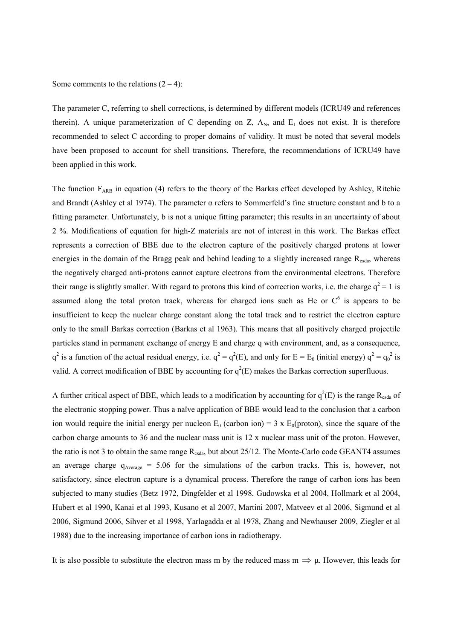#### Some comments to the relations  $(2 – 4)$ :

The parameter C, referring to shell corrections, is determined by different models (ICRU49 and references therein). A unique parameterization of C depending on  $Z$ ,  $A_N$ , and  $E_I$  does not exist. It is therefore recommended to select C according to proper domains of validity. It must be noted that several models have been proposed to account for shell transitions. Therefore, the recommendations of ICRU49 have been applied in this work.

The function  $F_{ARB}$  in equation (4) refers to the theory of the Barkas effect developed by Ashley, Ritchie and Brandt (Ashley et al 1974). The parameter α refers to Sommerfeld's fine structure constant and b to a fitting parameter. Unfortunately, b is not a unique fitting parameter; this results in an uncertainty of about 2 %. Modifications of equation for high-Z materials are not of interest in this work. The Barkas effect represents a correction of BBE due to the electron capture of the positively charged protons at lower energies in the domain of the Bragg peak and behind leading to a slightly increased range R<sub>csda</sub>, whereas the negatively charged anti-protons cannot capture electrons from the environmental electrons. Therefore their range is slightly smaller. With regard to protons this kind of correction works, i.e. the charge  $q^2 = 1$  is assumed along the total proton track, whereas for charged ions such as He or  $C^6$  is appears to be insufficient to keep the nuclear charge constant along the total track and to restrict the electron capture only to the small Barkas correction (Barkas et al 1963). This means that all positively charged projectile particles stand in permanent exchange of energy E and charge q with environment, and, as a consequence,  $q^2$  is a function of the actual residual energy, i.e.  $q^2 = q^2(E)$ , and only for  $E = E_0$  (initial energy)  $q^2 = q_0^2$  is valid. A correct modification of BBE by accounting for  $q^2(E)$  makes the Barkas correction superfluous.

A further critical aspect of BBE, which leads to a modification by accounting for  $q^2(E)$  is the range R<sub>csda</sub> of the electronic stopping power. Thus a naïve application of BBE would lead to the conclusion that a carbon ion would require the initial energy per nucleon  $E_0$  (carbon ion) = 3 x  $E_0$ (proton), since the square of the carbon charge amounts to 36 and the nuclear mass unit is 12 x nuclear mass unit of the proton. However, the ratio is not 3 to obtain the same range R<sub>csda</sub>, but about 25/12. The Monte-Carlo code GEANT4 assumes an average charge  $q_{Average} = 5.06$  for the simulations of the carbon tracks. This is, however, not satisfactory, since electron capture is a dynamical process. Therefore the range of carbon ions has been subjected to many studies (Betz 1972, Dingfelder et al 1998, Gudowska et al 2004, Hollmark et al 2004, Hubert et al 1990, Kanai et al 1993, Kusano et al 2007, Martini 2007, Matveev et al 2006, Sigmund et al 2006, Sigmund 2006, Sihver et al 1998, Yarlagadda et al 1978, Zhang and Newhauser 2009, Ziegler et al 1988) due to the increasing importance of carbon ions in radiotherapy.

It is also possible to substitute the electron mass m by the reduced mass  $m \implies \mu$ . However, this leads for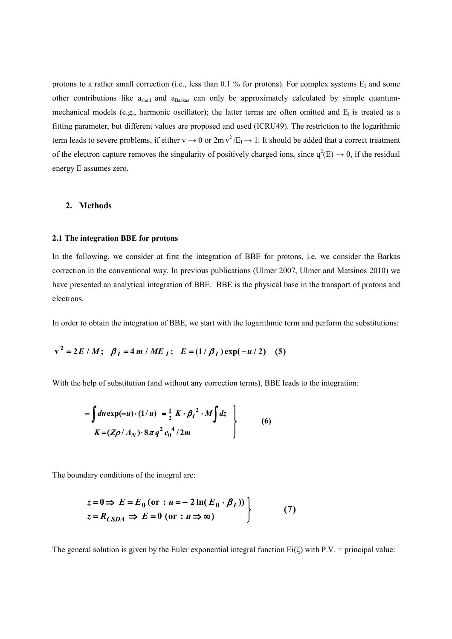protons to a rather small correction (i.e., less than  $0.1\%$  for protons). For complex systems  $E_I$  and some other contributions like a<sub>shell</sub> and a<sub>Barkas</sub> can only be approximately calculated by simple quantummechanical models (e.g., harmonic oscillator); the latter terms are often omitted and  $E<sub>I</sub>$  is treated as a fitting parameter, but different values are proposed and used (ICRU49). The restriction to the logarithmic term leads to severe problems, if either  $v \to 0$  or  $2m v^2/E_1 \to 1$ . It should be added that a correct treatment of the electron capture removes the singularity of positively charged ions, since  $q^2(E) \rightarrow 0$ , if the residual energy E assumes zero.

## **2. Methods**

#### **2.1 The integration BBE for protons**

In the following, we consider at first the integration of BBE for protons, i.e. we consider the Barkas correction in the conventional way. In previous publications (Ulmer 2007, Ulmer and Matsinos 2010) we have presented an analytical integration of BBE. BBE is the physical base in the transport of protons and electrons.

In order to obtain the integration of BBE, we start with the logarithmic term and perform the substitutions:

$$
v^2 = 2E/M
$$
;  $\beta_I = 4m/ME_I$ ;  $E = (1/\beta_I) \exp(-u/2)$  (5)

With the help of substitution (and without any correction terms), BBE leads to the integration:

$$
-\int du \exp(-u) \cdot (1/u) = \frac{1}{2} K \cdot \beta_I^2 \cdot M \int dz
$$
  

$$
K = (Z\rho / A_N) \cdot 8\pi q^2 e_0^4 / 2m
$$
 (6)

The boundary conditions of the integral are:

$$
z = 0 \Rightarrow E = E_0 \text{ (or : } u = -2 \ln(E_0 \cdot \beta_I))
$$
  

$$
z = R_{CSDA} \Rightarrow E = 0 \text{ (or : } u \Rightarrow \infty)
$$
 (7)

The general solution is given by the Euler exponential integral function  $Ei(\xi)$  with P.V. = principal value: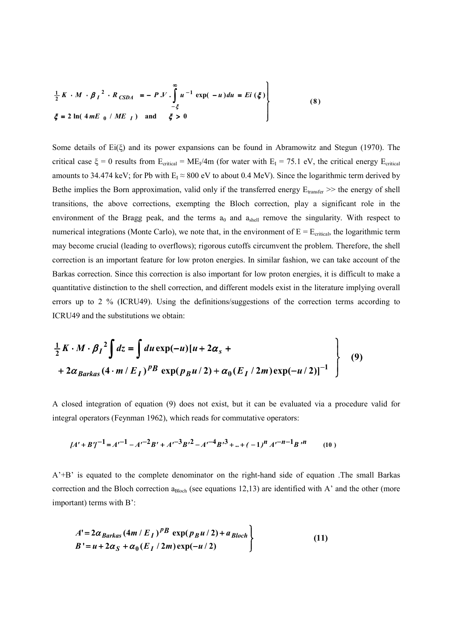$$
\frac{1}{2} K \cdot M \cdot {\beta_I}^2 \cdot R_{CSDA} = - P \cdot V \cdot \int_{-\xi}^{\infty} u^{-1} \exp(-u) du = Ei(\xi)
$$
  
 $\xi = 2 \ln(4mE_0 / ME_I)$  and  $\xi > 0$  (8)

Some details of Ei(ξ) and its power expansions can be found in Abramowitz and Stegun (1970). The critical case  $\xi = 0$  results from  $E_{critical} = ME_I/4m$  (for water with  $E_I = 75.1$  eV, the critical energy  $E_{critical}$ amounts to 34.474 keV; for Pb with  $E_1 \approx 800$  eV to about 0.4 MeV). Since the logarithmic term derived by Bethe implies the Born approximation, valid only if the transferred energy  $E_{\text{transfer}} \gg$  the energy of shell transitions, the above corrections, exempting the Bloch correction, play a significant role in the environment of the Bragg peak, and the terms  $a_0$  and  $a_{shell}$  remove the singularity. With respect to numerical integrations (Monte Carlo), we note that, in the environment of  $E = E_{critical}$ , the logarithmic term may become crucial (leading to overflows); rigorous cutoffs circumvent the problem. Therefore, the shell correction is an important feature for low proton energies. In similar fashion, we can take account of the Barkas correction. Since this correction is also important for low proton energies, it is difficult to make a quantitative distinction to the shell correction, and different models exist in the literature implying overall errors up to 2 % (ICRU49). Using the definitions/suggestions of the correction terms according to ICRU49 and the substitutions we obtain:

$$
\frac{1}{2}K \cdot M \cdot {\beta_I}^2 \int dz = \int du \exp(-u)[u + 2\alpha_s ++ 2\alpha_{Barkas} (4 \cdot m / E_I)^{PB} \exp(p_B u / 2) + \alpha_0 (E_I / 2m) \exp(-u / 2)]^{-1}
$$
\n(9)

A closed integration of equation (9) does not exist, but it can be evaluated via a procedure valid for integral operators (Feynman 1962), which reads for commutative operators:

$$
[A' + B']^{-1} = A'^{-1} - A'^{-2}B' + A'^{-3}B'^{2} - A'^{-4}B'^{3} + ... + (-1)^{n}A'^{-n-1}B'^{n}
$$
 (10)

A'+B' is equated to the complete denominator on the right-hand side of equation .The small Barkas correction and the Bloch correction  $a_{Bloch}$  (see equations 12,13) are identified with A' and the other (more important) terms with B':

$$
A' = 2\alpha_{Barkas} (4m / E_I)^{p} \exp(p_B u / 2) + a_{Bloch}
$$
  
\n
$$
B' = u + 2\alpha_S + \alpha_0 (E_I / 2m) \exp(-u / 2)
$$
\n(11)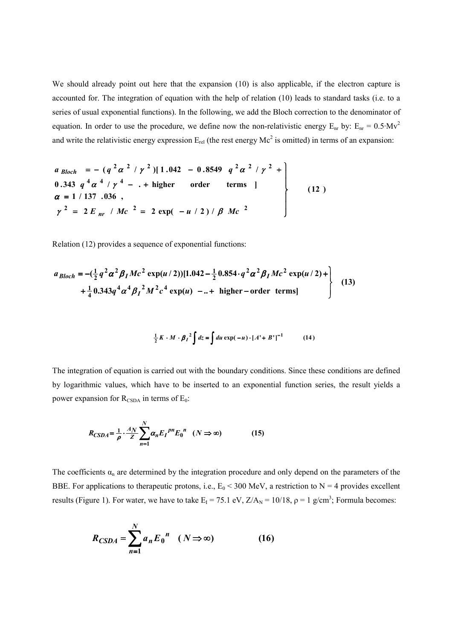We should already point out here that the expansion (10) is also applicable, if the electron capture is accounted for. The integration of equation with the help of relation (10) leads to standard tasks (i.e. to a series of usual exponential functions). In the following, we add the Bloch correction to the denominator of equation. In order to use the procedure, we define now the non-relativistic energy  $E_{nr}$  by:  $E_{nr} = 0.5 \text{·Mv}^2$ and write the relativistic energy expression  $E_{rel}$  (the rest energy Mc<sup>2</sup> is omitted) in terms of an expansion:

$$
\begin{array}{c}\n a_{Bloch} = - (q^2 \alpha^2 / \gamma^2) [1.042 - 0.8549 \ q^2 \alpha^2 / \gamma^2 + 0.343 \ q^4 \alpha^4 / \gamma^4 - . + \text{higher order terms } ] \\
 \alpha = 1 / 137 \cdot 036 , \\
 \gamma^2 = 2 E_{nr} / Mc^2 = 2 \exp(-u/2) / \beta Mc^2\n\end{array} \tag{12}
$$

Relation (12) provides a sequence of exponential functions:

$$
a_{Bloch} = -(\frac{1}{2}q^2\alpha^2\beta_I Mc^2 \exp(u/2))[1.042 - \frac{1}{2}0.854 \cdot q^2\alpha^2\beta_I Mc^2 \exp(u/2) + \frac{1}{4}0.343q^4\alpha^4\beta_I^2 M^2c^4 \exp(u) - .. + \text{ higher-order terms}] \qquad (13)
$$

$$
\frac{1}{2}K \cdot M \cdot {\beta_I}^2 \int dz = \int du \exp(-u) \cdot [A' + B']^{-1}
$$
 (14)

The integration of equation is carried out with the boundary conditions. Since these conditions are defined by logarithmic values, which have to be inserted to an exponential function series, the result yields a power expansion for  $R_{\text{CSDA}}$  in terms of  $E_0$ :

$$
R_{CSDA} = \frac{1}{\rho} \cdot \frac{A_N}{Z} \sum_{n=1}^{N} \alpha_n E_I^{pn} E_0^{n} \quad (N \Rightarrow \infty)
$$
 (15)

The coefficients  $\alpha_n$  are determined by the integration procedure and only depend on the parameters of the BBE. For applications to therapeutic protons, i.e.,  $E_0 < 300$  MeV, a restriction to N = 4 provides excellent results (Figure 1). For water, we have to take  $E_I = 75.1$  eV,  $Z/A_N = 10/18$ ,  $\rho = 1$  g/cm<sup>3</sup>; Formula becomes:

$$
R_{CSDA} = \sum_{n=1}^{N} a_n E_0^{n} \quad (N \Rightarrow \infty)
$$
 (16)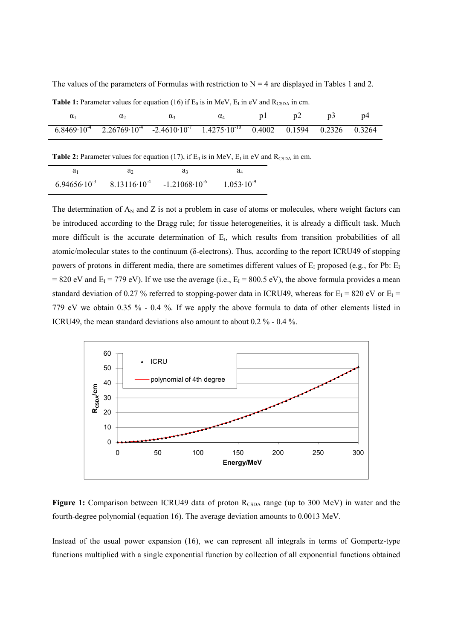The values of the parameters of Formulas with restriction to  $N = 4$  are displayed in Tables 1 and 2.

| $\alpha$                                                                                                                                                                                                | $\alpha_3$ |  |  |  |
|---------------------------------------------------------------------------------------------------------------------------------------------------------------------------------------------------------|------------|--|--|--|
| $\frac{6.8469 \cdot 10^4}{6.8469 \cdot 10^4}$ $\frac{2.26769 \cdot 10^4}{2.4610 \cdot 10^7}$ $\frac{1.4275 \cdot 10^{10}}{1.4275 \cdot 10^{10}}$ $\frac{0.4002}{0.1594}$ $\frac{0.2326}{0.3264}$ 0.2326 |            |  |  |  |

**Table 1:** Parameter values for equation (16) if  $E_0$  is in MeV,  $E_1$  in eV and  $R_{\text{CSDA}}$  in cm.

**Table 2:** Parameter values for equation (17), if  $E_0$  is in MeV,  $E_1$  in eV and  $R_{\text{CSDA}}$  in cm.

|                         | ä٥                      | a٠                       | ä۸                    |
|-------------------------|-------------------------|--------------------------|-----------------------|
| $6.94656 \cdot 10^{-3}$ | $8.13116 \cdot 10^{-4}$ | $-1.21068 \cdot 10^{-6}$ | $1.053 \cdot 10^{-9}$ |

The determination of  $A_N$  and Z is not a problem in case of atoms or molecules, where weight factors can be introduced according to the Bragg rule; for tissue heterogeneities, it is already a difficult task. Much more difficult is the accurate determination of  $E<sub>I</sub>$ , which results from transition probabilities of all atomic/molecular states to the continuum (δ-electrons). Thus, according to the report ICRU49 of stopping powers of protons in different media, there are sometimes different values of  $E_I$  proposed (e.g., for Pb:  $E_I$  $= 820$  eV and  $E_I = 779$  eV). If we use the average (i.e.,  $E_I = 800.5$  eV), the above formula provides a mean standard deviation of 0.27 % referred to stopping-power data in ICRU49, whereas for  $E_1 = 820$  eV or  $E_1 =$ 779 eV we obtain 0.35 % - 0.4 %. If we apply the above formula to data of other elements listed in ICRU49, the mean standard deviations also amount to about 0.2 % - 0.4 %.



**Figure 1:** Comparison between ICRU49 data of proton  $R_{\text{CSDA}}$  range (up to 300 MeV) in water and the fourth-degree polynomial (equation 16). The average deviation amounts to 0.0013 MeV.

Instead of the usual power expansion (16), we can represent all integrals in terms of Gompertz-type functions multiplied with a single exponential function by collection of all exponential functions obtained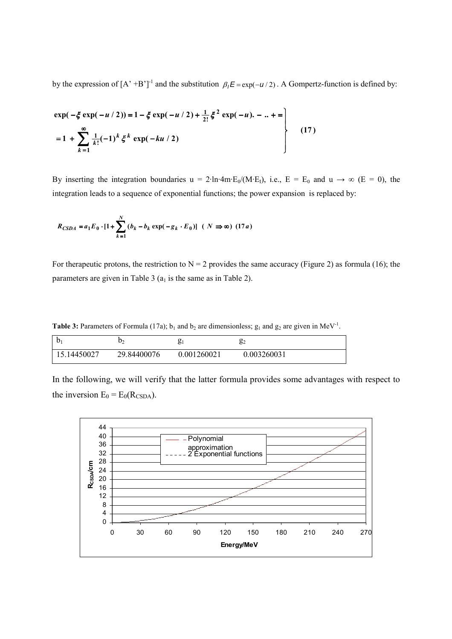by the expression of  $[A' + B']^{-1}$  and the substitution  $\beta_1 E = \exp(-\frac{u}{2})$ . A Gompertz-function is defined by:

$$
\exp(-\xi \exp(-u/2)) = 1 - \xi \exp(-u/2) + \frac{1}{2!} \xi^2 \exp(-u) - ... + =
$$
\n
$$
= 1 + \sum_{k=1}^{\infty} \frac{1}{k!} (-1)^k \xi^k \exp(-ku/2)
$$
\n(17)

By inserting the integration boundaries u = 2·ln·4m·E<sub>0</sub>/(M·E<sub>I</sub>), i.e., E = E<sub>0</sub> and u  $\rightarrow \infty$  (E = 0), the integration leads to a sequence of exponential functions; the power expansion is replaced by:

$$
R_{CSDA} = a_1 E_0 \cdot [1 + \sum_{k=1}^{N} (b_k - b_k \exp(-g_k \cdot E_0)] \quad (N \implies \infty) \tag{17a}
$$

For therapeutic protons, the restriction to  $N = 2$  provides the same accuracy (Figure 2) as formula (16); the parameters are given in Table 3 ( $a<sub>1</sub>$  is the same as in Table 2).

**Table 3:** Parameters of Formula (17a);  $b_1$  and  $b_2$  are dimensionless;  $g_1$  and  $g_2$  are given in MeV<sup>-1</sup>.

| $\mathfrak b$ | υ≃          | g           | 82          |
|---------------|-------------|-------------|-------------|
| 15.14450027   | 29.84400076 | 0.001260021 | 0.003260031 |

In the following, we will verify that the latter formula provides some advantages with respect to the inversion  $E_0 = E_0(R_{\text{CSDA}})$ .

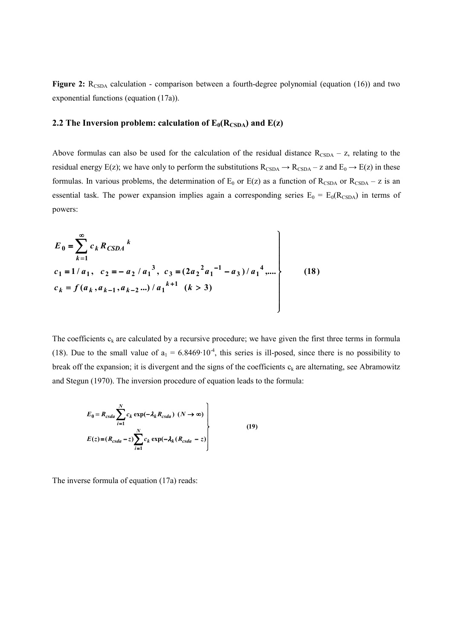Figure 2: R<sub>CSDA</sub> calculation - comparison between a fourth-degree polynomial (equation (16)) and two exponential functions (equation (17a)).

## **2.2 The Inversion problem: calculation of**  $E_0(R_{\text{CSDA}})$  **and**  $E(z)$

Above formulas can also be used for the calculation of the residual distance  $R_{\text{CSDA}} - z$ , relating to the residual energy E(z); we have only to perform the substitutions  $R_{CSDA} \to R_{CSDA} - z$  and  $E_0 \to E(z)$  in these formulas. In various problems, the determination of  $E_0$  or  $E(z)$  as a function of  $R_{CSDA}$  or  $R_{CSDA} - z$  is an essential task. The power expansion implies again a corresponding series  $E_0 = E_0(R_{\text{CSDA}})$  in terms of powers:

$$
E_0 = \sum_{k=1}^{\infty} c_k R_{CSDA}^k
$$
  
\n
$$
c_1 = 1/a_1, \quad c_2 = -a_2/a_1^3, \quad c_3 = (2a_2^2 a_1^{-1} - a_3)/a_1^4, \dots
$$
  
\n
$$
c_k = f(a_k, a_{k-1}, a_{k-2} \dots)/a_1^{k+1} \quad (k > 3)
$$
\n(18)

The coefficients  $c_k$  are calculated by a recursive procedure; we have given the first three terms in formula (18). Due to the small value of  $a_1 = 6.8469 \cdot 10^{-4}$ , this series is ill-posed, since there is no possibility to break off the expansion; it is divergent and the signs of the coefficients  $c_k$  are alternating, see Abramowitz and Stegun (1970). The inversion procedure of equation leads to the formula:

$$
E_0 = R_{csda} \sum_{i=1}^{N} c_k \exp(-\lambda_k R_{csda}) \quad (N \to \infty)
$$
  

$$
E(z) = (R_{csda} - z) \sum_{i=1}^{N} c_k \exp(-\lambda_k (R_{csda} - z))
$$
 (19)

The inverse formula of equation (17a) reads: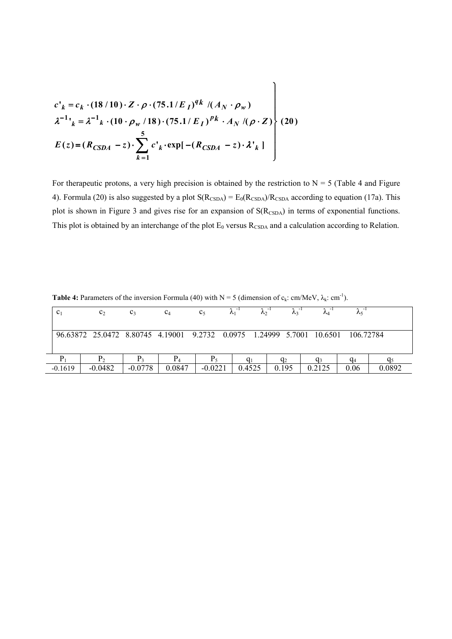$$
c'_{k} = c_{k} \cdot (18/10) \cdot Z \cdot \rho \cdot (75.1/E_{I})^{q_{k}} / (A_{N} \cdot \rho_{w})
$$
\n
$$
\lambda^{-1}{}_{k} = \lambda^{-1}{}_{k} \cdot (10 \cdot \rho_{w} / 18) \cdot (75.1/E_{I})^{pk} \cdot A_{N} / (\rho \cdot Z)
$$
\n
$$
E(z) = (R_{CSDA} - z) \cdot \sum_{k=1}^{5} c'_{k} \cdot \exp[-(R_{CSDA} - z) \cdot \lambda'_{k}]
$$
\n(20)

For therapeutic protons, a very high precision is obtained by the restriction to  $N = 5$  (Table 4 and Figure 4). Formula (20) is also suggested by a plot  $S(R_{CSDA}) = E_0(R_{CSDA})/R_{CSDA}$  according to equation (17a). This plot is shown in Figure 3 and gives rise for an expansion of  $S(R_{\text{CSDA}})$  in terms of exponential functions. This plot is obtained by an interchange of the plot  $E_0$  versus  $R_{\text{CSDA}}$  and a calculation according to Relation.

 $\mathbf{I}$ 

| C <sub>1</sub> | c <sub>2</sub> | $C_3$     | C <sub>4</sub>                                                        | c <sub>5</sub> |        | Λ2 |       |        |           |        |
|----------------|----------------|-----------|-----------------------------------------------------------------------|----------------|--------|----|-------|--------|-----------|--------|
|                |                |           | 96.63872 25.0472 8.80745 4.19001 9.2732 0.0975 1.24999 5.7001 10.6501 |                |        |    |       |        | 106.72784 |        |
|                |                |           |                                                                       |                |        |    | $q_2$ |        | $q_4$     |        |
| $-0.1619$      | $-0.0482$      | $-0.0778$ | 0.0847                                                                | $-0.0221$      | 0.4525 |    | 0.195 | 0.2125 | 0.06      | 0.0892 |

**Table 4:** Parameters of the inversion Formula (40) with  $N = 5$  (dimension of  $c_k$ : cm/MeV,  $\lambda_k$ : cm<sup>-1</sup>).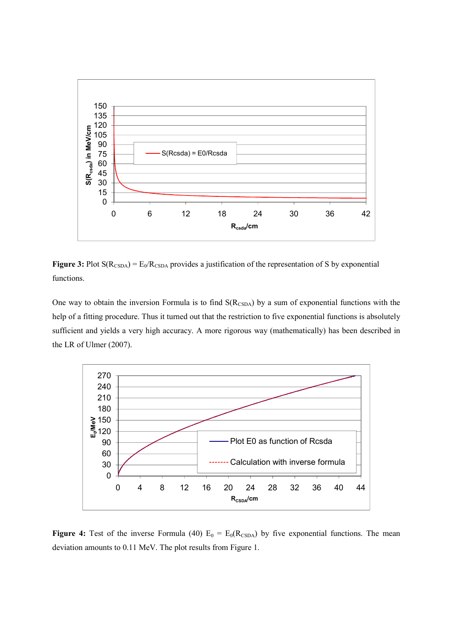

**Figure 3:** Plot  $S(R_{CSDA}) = E_0/R_{CSDA}$  provides a justification of the representation of S by exponential functions.

One way to obtain the inversion Formula is to find  $S(R_{\text{CSDA}})$  by a sum of exponential functions with the help of a fitting procedure. Thus it turned out that the restriction to five exponential functions is absolutely sufficient and yields a very high accuracy. A more rigorous way (mathematically) has been described in the LR of Ulmer (2007).



**Figure 4:** Test of the inverse Formula (40)  $E_0 = E_0(R_{CSDA})$  by five exponential functions. The mean deviation amounts to 0.11 MeV. The plot results from Figure 1.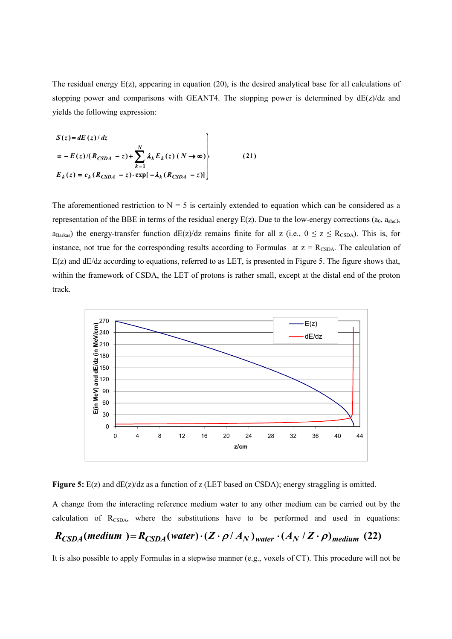The residual energy  $E(z)$ , appearing in equation (20), is the desired analytical base for all calculations of stopping power and comparisons with GEANT4. The stopping power is determined by  $dE(z)/dz$  and yields the following expression:

$$
S(z) = dE(z)/dz
$$
  
=  $-E(z)/(R_{CSDA} - z) + \sum_{k=1}^{N} \lambda_k E_k(z) (N \rightarrow \infty)$   
 $E_k(z) = c_k (R_{CSDA} - z) \cdot \exp[-\lambda_k (R_{CSDA} - z)]$  (21)

The aforementioned restriction to  $N = 5$  is certainly extended to equation which can be considered as a representation of the BBE in terms of the residual energy  $E(z)$ . Due to the low-energy corrections ( $a_0$ ,  $a_{shell}$ ,  $a<sub>Barkas</sub>$ ) the energy-transfer function dE(z)/dz remains finite for all z (i.e.,  $0 \le z \le R<sub>CSDA</sub>$ ). This is, for instance, not true for the corresponding results according to Formulas  $at z = R_{CSDA}$ . The calculation of  $E(z)$  and  $dE/dz$  according to equations, referred to as LET, is presented in Figure 5. The figure shows that, within the framework of CSDA, the LET of protons is rather small, except at the distal end of the proton track.



Figure 5: E(z) and  $dE(z)/dz$  as a function of z (LET based on CSDA); energy straggling is omitted.

A change from the interacting reference medium water to any other medium can be carried out by the calculation of  $R_{\text{CSDA}}$ , where the substitutions have to be performed and used in equations:

# $R_{CSDA}(medium) = R_{CSDA}(water) \cdot (Z \cdot \rho / A_N)_{water} \cdot (A_N / Z \cdot \rho)_{medium}$  (22)

It is also possible to apply Formulas in a stepwise manner (e.g., voxels of CT). This procedure will not be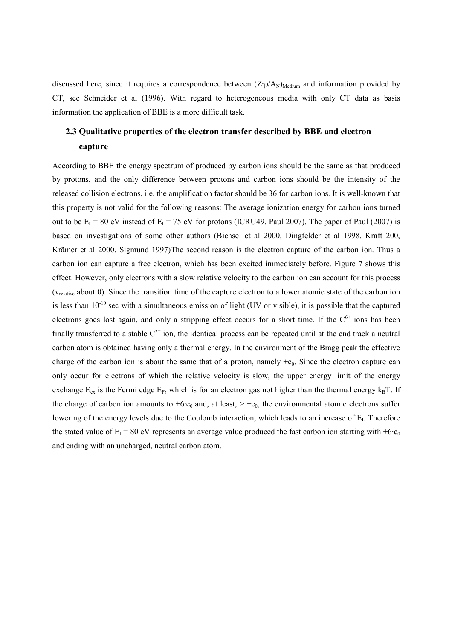discussed here, since it requires a correspondence between  $(Z \cdot \rho/A_N)_{\text{Median}}$  and information provided by CT, see Schneider et al (1996). With regard to heterogeneous media with only CT data as basis information the application of BBE is a more difficult task.

## **2.3 Qualitative properties of the electron transfer described by BBE and electron capture**

According to BBE the energy spectrum of produced by carbon ions should be the same as that produced by protons, and the only difference between protons and carbon ions should be the intensity of the released collision electrons, i.e. the amplification factor should be 36 for carbon ions. It is well-known that this property is not valid for the following reasons: The average ionization energy for carbon ions turned out to be  $E_1 = 80$  eV instead of  $E_1 = 75$  eV for protons (ICRU49, Paul 2007). The paper of Paul (2007) is based on investigations of some other authors (Bichsel et al 2000, Dingfelder et al 1998, Kraft 200, Krämer et al 2000, Sigmund 1997)The second reason is the electron capture of the carbon ion. Thus a carbon ion can capture a free electron, which has been excited immediately before. Figure 7 shows this effect. However, only electrons with a slow relative velocity to the carbon ion can account for this process (vrelative about 0). Since the transition time of the capture electron to a lower atomic state of the carbon ion is less than  $10^{-10}$  sec with a simultaneous emission of light (UV or visible), it is possible that the captured electrons goes lost again, and only a stripping effect occurs for a short time. If the  $C^{6+}$  ions has been finally transferred to a stable  $C^{5+}$  ion, the identical process can be repeated until at the end track a neutral carbon atom is obtained having only a thermal energy. In the environment of the Bragg peak the effective charge of the carbon ion is about the same that of a proton, namely  $+e_0$ . Since the electron capture can only occur for electrons of which the relative velocity is slow, the upper energy limit of the energy exchange  $E_{ex}$  is the Fermi edge  $E_F$ , which is for an electron gas not higher than the thermal energy  $k_B T$ . If the charge of carbon ion amounts to  $+6e_0$  and, at least,  $> +e_0$ , the environmental atomic electrons suffer lowering of the energy levels due to the Coulomb interaction, which leads to an increase of  $E_I$ . Therefore the stated value of  $E_I = 80$  eV represents an average value produced the fast carbon ion starting with  $+6 \cdot e_0$ and ending with an uncharged, neutral carbon atom.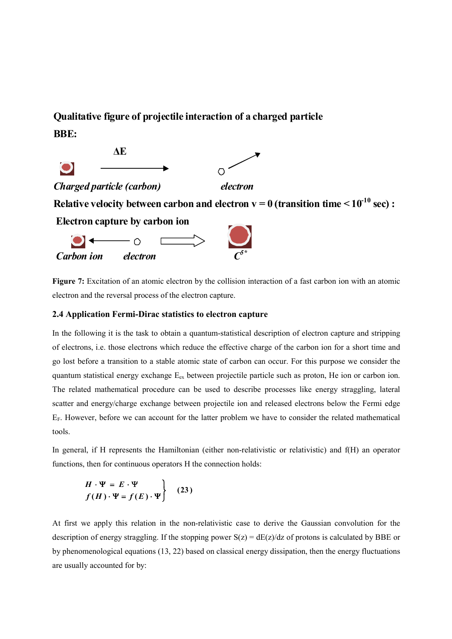## **Qualitative figure of projectile interaction of a charged particle BBE:**



**Relative velocity between carbon and electron**  $v = 0$  **(transition time**  $\leq 10^{-10}$  **sec) :** 

 **Electron capture by carbon ion** 



**Figure 7:** Excitation of an atomic electron by the collision interaction of a fast carbon ion with an atomic electron and the reversal process of the electron capture.

## **2.4 Application Fermi-Dirac statistics to electron capture**

In the following it is the task to obtain a quantum-statistical description of electron capture and stripping of electrons, i.e. those electrons which reduce the effective charge of the carbon ion for a short time and go lost before a transition to a stable atomic state of carbon can occur. For this purpose we consider the quantum statistical energy exchange  $E_{ex}$  between projectile particle such as proton, He ion or carbon ion. The related mathematical procedure can be used to describe processes like energy straggling, lateral scatter and energy/charge exchange between projectile ion and released electrons below the Fermi edge  $E_F$ . However, before we can account for the latter problem we have to consider the related mathematical tools.

In general, if H represents the Hamiltonian (either non-relativistic or relativistic) and f(H) an operator functions, then for continuous operators H the connection holds:

$$
\begin{aligned}\nH \cdot \Psi &= E \cdot \Psi \\
f(H) \cdot \Psi &= f(E) \cdot \Psi\n\end{aligned} \tag{23}
$$

At first we apply this relation in the non-relativistic case to derive the Gaussian convolution for the description of energy straggling. If the stopping power  $S(z) = dE(z)/dz$  of protons is calculated by BBE or by phenomenological equations (13, 22) based on classical energy dissipation, then the energy fluctuations are usually accounted for by: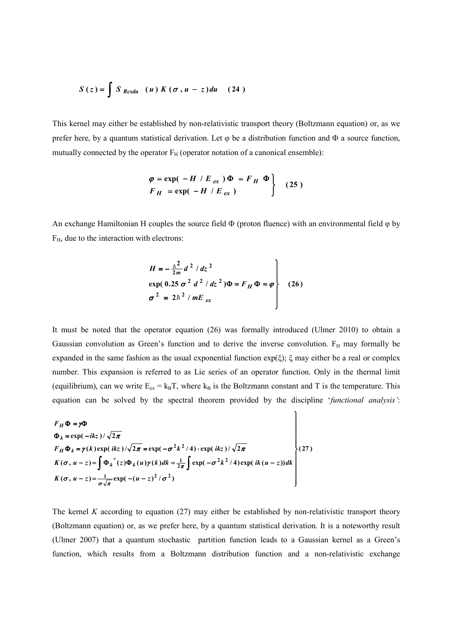$$
S(z) = \int S_{Resda} (u) K(\sigma, u - z) du
$$
 (24)

This kernel may either be established by non-relativistic transport theory (Boltzmann equation) or, as we prefer here, by a quantum statistical derivation. Let  $\varphi$  be a distribution function and  $\Phi$  a source function, mutually connected by the operator  $F_H$  (operator notation of a canonical ensemble):

$$
\varphi = \exp(-H / E_{ex}) \Phi = F_H \Phi
$$
  
\n
$$
F_H = \exp(-H / E_{ex})
$$
\n(25)

An exchange Hamiltonian H couples the source field  $\Phi$  (proton fluence) with an environmental field  $\phi$  by FH, due to the interaction with electrons:

$$
H = -\frac{\hbar^2}{2m} d^2 / dz^2
$$
  
exp(0.25  $\sigma^2 d^2 / dz^2$ ) $\Phi = F_H \Phi = \varphi$   

$$
\sigma^2 = 2\hbar^2 / mE_{ex}
$$
 (26)

It must be noted that the operator equation (26) was formally introduced (Ulmer 2010) to obtain a Gaussian convolution as Green's function and to derive the inverse convolution.  $F_H$  may formally be expanded in the same fashion as the usual exponential function  $exp(\xi)$ ;  $\xi$  may either be a real or complex number. This expansion is referred to as Lie series of an operator function. Only in the thermal limit (equilibrium), can we write  $E_{ex} = k_B T$ , where  $k_B$  is the Boltzmann constant and T is the temperature. This equation can be solved by the spectral theorem provided by the discipline '*functional analysis'*:

f.

$$
F_H \Phi = \gamma \Phi
$$
  
\n
$$
\Phi_k = \exp(-ikz)/\sqrt{2\pi}
$$
  
\n
$$
F_H \Phi_k = \gamma(k) \exp(ikz)/\sqrt{2\pi} = \exp(-\sigma^2 k^2/4) \cdot \exp(ikz)/\sqrt{2\pi}
$$
  
\n
$$
K(\sigma, u-z) = \int \Phi_k^*(z) \Phi_k(u) \gamma(k) dk = \frac{1}{2\pi} \int \exp(-\sigma^2 k^2/4) \exp(ik(u-z)) dk
$$
  
\n
$$
K(\sigma, u-z) = \frac{1}{\sigma \sqrt{\pi}} \exp(-(u-z)^2/\sigma^2)
$$
\n(27)

The kernel *K* according to equation (27) may either be established by non-relativistic transport theory (Boltzmann equation) or, as we prefer here, by a quantum statistical derivation. It is a noteworthy result (Ulmer 2007) that a quantum stochastic partition function leads to a Gaussian kernel as a Green's function, which results from a Boltzmann distribution function and a non-relativistic exchange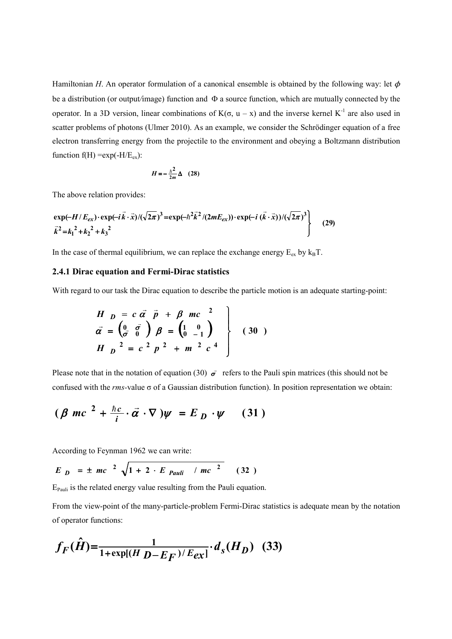Hamiltonian *H*. An operator formulation of a canonical ensemble is obtained by the following way: let  $\phi$ be a distribution (or output*/*image) function and Φ a source function, which are mutually connected by the operator. In a 3D version, linear combinations of K(σ, u – x) and the inverse kernel K<sup>-1</sup> are also used in scatter problems of photons (Ulmer 2010). As an example, we consider the Schrödinger equation of a free electron transferring energy from the projectile to the environment and obeying a Boltzmann distribution function  $f(H) = exp(-H/E<sub>ex</sub>)$ :

$$
H = -\frac{\hbar^2}{2m}\Delta \quad (28)
$$

The above relation provides:

$$
\exp(-H/E_{ex}) \cdot \exp(-i\vec{k}\cdot\vec{x})/(\sqrt{2\pi})^3 = \exp(-\hbar^2\vec{k}^2/(2mE_{ex})) \cdot \exp(-i(\vec{k}\cdot\vec{x}))/(\sqrt{2\pi})^3
$$
\n(29)

In the case of thermal equilibrium, we can replace the exchange energy  $E_{ex}$  by  $k_BT$ .

## **2.4.1 Dirac equation and Fermi-Dirac statistics**

With regard to our task the Dirac equation to describe the particle motion is an adequate starting-point:

$$
\begin{array}{ccc}\nH & p = c \, \vec{\alpha} & \vec{p} + \beta & mc \, ^2 \\
\vec{\alpha} = \begin{pmatrix} 0 & \vec{\sigma} \\ \vec{\sigma} & 0 \end{pmatrix} \, \beta = \begin{pmatrix} 1 & 0 \\ 0 & -1 \end{pmatrix} \\
H & p \, ^2 = c \, ^2 \, p \, ^2 + m \, ^2 \, c \, ^4\n\end{array}\n\bigg\} \tag{30}
$$

Please note that in the notation of equation (30)  $\vec{\sigma}$  refers to the Pauli spin matrices (this should not be confused with the *rms-*value σ of a Gaussian distribution function). In position representation we obtain:

$$
(\beta mc^2 + \frac{\hbar c}{i} \cdot \vec{\alpha} \cdot \nabla)\psi = E_D \cdot \psi \qquad (31)
$$

According to Feynman 1962 we can write:

$$
E_{D} = \pm mc^{2} \sqrt{1 + 2 \cdot E_{Pauli} / mc^{2}}
$$
 (32)

 $E_{Pauli}$  is the related energy value resulting from the Pauli equation.

From the view-point of the many-particle-problem Fermi-Dirac statistics is adequate mean by the notation of operator functions:

$$
f_F(\hat{H}) = \frac{1}{1 + \exp[(H \ D - E_F)/E_{ex}]} \cdot d_s(H_D) \quad (33)
$$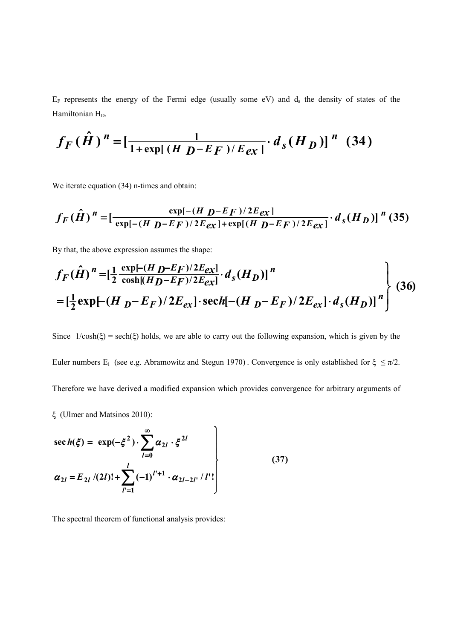$E_F$  represents the energy of the Fermi edge (usually some eV) and  $d_s$  the density of states of the Hamiltonian H<sub>D</sub>.

$$
f_F(\hat{H})^n = \left[\frac{1}{1 + \exp[(H \ D - E \ F)/E_{ex}]} \cdot d_s(H \ D)\right]^n \ (34)
$$

We iterate equation (34) n-times and obtain:

$$
f_F(\hat{H})^n = \left[\frac{\exp[-(H_D - EF)/2E_{ex}]}{\exp[-(H_D - EF)/2E_{ex}]+\exp[(H_D - EF)/2E_{ex}]} \cdot d_s(H_D)\right]^n (35)
$$

By that, the above expression assumes the shape:

$$
f_F(\hat{H})^n = \left[\frac{1}{2} \frac{\exp[-(H_D - E_F)/2E_{ex}]}{\cosh[(H_D - E_F)/2E_{ex}]} \cdot d_s(H_D)\right]^n
$$
  
=  $\left[\frac{1}{2} \exp[-(H_D - E_F)/2E_{ex}]\cdot \sech[-(H_D - E_F)/2E_{ex}]\cdot d_s(H_D)\right]^n$  (36)

Since  $1/\cosh(\xi) = \sech(\xi)$  holds, we are able to carry out the following expansion, which is given by the Euler numbers E<sub>1</sub> (see e.g. Abramowitz and Stegun 1970). Convergence is only established for  $\xi \leq \pi/2$ . Therefore we have derived a modified expansion which provides convergence for arbitrary arguments of ξ (Ulmer and Matsinos 2010):

$$
\sec h(\xi) = \exp(-\xi^{2}) \cdot \sum_{l=0}^{\infty} \alpha_{2l} \cdot \xi^{2l}
$$
  

$$
\alpha_{2l} = E_{2l} / (2l)! + \sum_{l'=1}^{l} (-1)^{l'+1} \cdot \alpha_{2l-2l'} / l'!
$$
 (37)

The spectral theorem of functional analysis provides: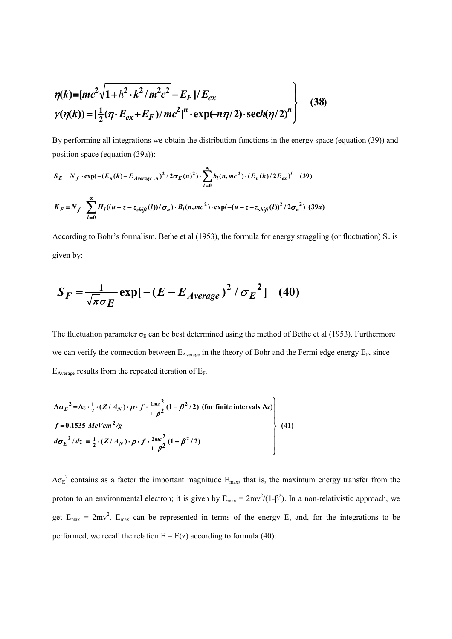$$
\eta(k) = [mc^2 \sqrt{1 + \hbar^2 \cdot k^2 / m^2 c^2} - E_F]/E_{ex}
$$
  
\n
$$
\gamma(\eta(k)) = [\frac{1}{2} (\eta \cdot E_{ex} + E_F) / mc^2]^n \cdot \exp(-n\eta/2) \cdot \sech(\eta/2)^n]
$$
\n(38)

By performing all integrations we obtain the distribution functions in the energy space (equation (39)) and position space (equation (39a)):

$$
S_E = N_f \cdot \exp(-(E_n(k) - E_{Average,n})^2 / 2\sigma_E(n)^2) \cdot \sum_{l=0}^{\infty} b_l(n, mc^2) \cdot (E_n(k) / 2E_{ex})^l \tag{39}
$$
  

$$
K_F = N_f \cdot \sum_{l=0}^{\infty} H_l((u - z - z_{shift}(l))/\sigma_n) \cdot B_l(n, mc^2) \cdot \exp(-(u - z - z_{shift}(l))^2 / 2\sigma_n^2) \tag{39a}
$$

According to Bohr's formalism, Bethe et al (1953), the formula for energy straggling (or fluctuation)  $S_F$  is given by:

$$
S_F = \frac{1}{\sqrt{\pi}\sigma_E} \exp[-(E - E_{Average})^2 / \sigma_E^2]
$$
 (40)

The fluctuation parameter  $\sigma_E$  can be best determined using the method of Bethe et al (1953). Furthermore we can verify the connection between  $E_{Average}$  in the theory of Bohr and the Fermi edge energy  $E_F$ , since  $E_{Average}$  results from the repeated iteration of  $E_F$ .

$$
\Delta \sigma_E^2 = \Delta z \cdot \frac{1}{2} \cdot (Z/A_N) \cdot \rho \cdot f \cdot \frac{2mc^2}{1-\beta^2} (1-\beta^2/2)
$$
 (for finite intervals  $\Delta z$ )  
\n
$$
f = 0.1535 \text{ MeVcm}^2/\text{g}
$$
\n
$$
d\sigma_E^2/dz = \frac{1}{2} \cdot (Z/A_N) \cdot \rho \cdot f \cdot \frac{2mc^2}{1-\beta^2} (1-\beta^2/2)
$$
\n(41)

 $\Delta \sigma_E^2$  contains as a factor the important magnitude  $E_{\text{max}}$ , that is, the maximum energy transfer from the proton to an environmental electron; it is given by  $E_{max} = 2mv^2/(1-\beta^2)$ . In a non-relativistic approach, we get  $E_{max} = 2mv^2$ .  $E_{max}$  can be represented in terms of the energy E, and, for the integrations to be performed, we recall the relation  $E = E(z)$  according to formula (40):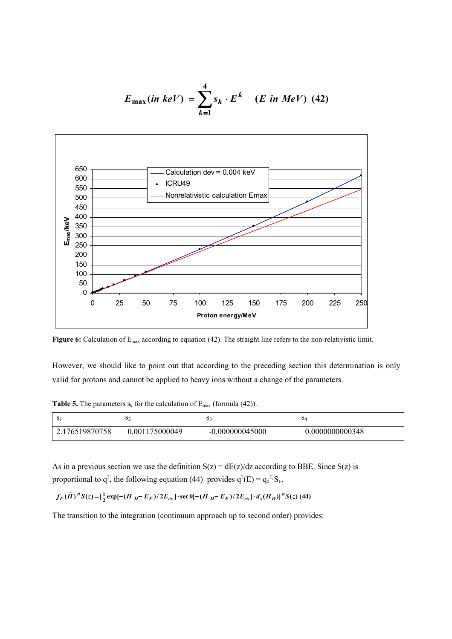$$
E_{\text{max}}(in\ keV) = \sum_{k=1}^{4} s_k \cdot E^k \quad (E\ in\ MeV) \tag{42}
$$



Figure 6: Calculation of E<sub>max</sub> according to equation (42). The straight line refers to the non-relativistic limit.

However, we should like to point out that according to the preceding section this determination is only valid for protons and cannot be applied to heavy ions without a change of the parameters.

**Table 5.** The parameters  $s_k$  for the calculation of  $E_{\text{max}}$  (formula (42)).

| <sup>2</sup>   | 52             |                   | OД              |
|----------------|----------------|-------------------|-----------------|
| 2.176519870758 | 0.001175000049 | $-0.000000045000$ | 0.0000000000348 |

As in a previous section we use the definition  $S(z) = dE(z)/dz$  according to BBE. Since  $S(z)$  is proportional to  $q^2$ , the following equation (44) provides  $q^2(E) = q_0^2 \cdot S_E$ .

 $f_F(\hat{H})^n S(z) = \left[\frac{1}{2} \exp[-(H_D - E_F)/2E_{ex}]\right] \cdot \sec h[-(H_D - E_F)/2E_{ex}] \cdot d_s(H_D)]^n S(z)$  (44)

The transition to the integration (continuum approach up to second order) provides: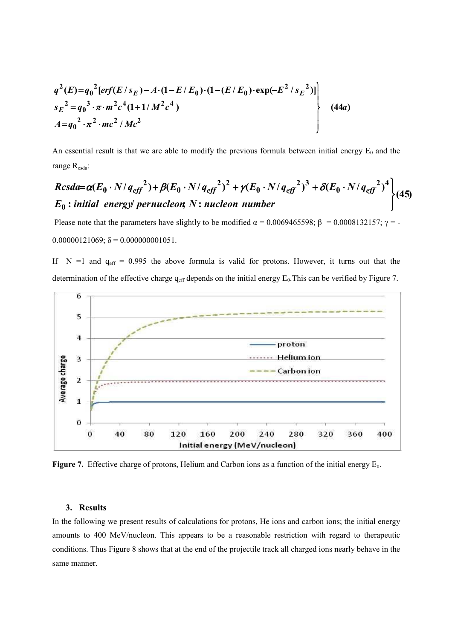$$
q^{2}(E) = q_{0}^{2} [erf(E/s_{E}) - A \cdot (1 - E/E_{0}) \cdot (1 - (E/E_{0}) \cdot \exp(-E^{2}/s_{E}^{2}))]
$$
  
\n
$$
s_{E}^{2} = q_{0}^{3} \cdot \pi \cdot m^{2} c^{4} (1 + 1/M^{2} c^{4})
$$
  
\n
$$
A = q_{0}^{2} \cdot \pi^{2} \cdot mc^{2} / Mc^{2}
$$
\n(44a)

An essential result is that we are able to modify the previous formula between initial energy  $E_0$  and the range  $R_{csda}$ :

#### **(45) : / ; : 0** *E initial energy pernucleon N nucleon number*  $(E_0 \cdot N / q_{\text{eff}}^2) + \beta (E_0 \cdot N / q_{\text{eff}}^2)^2 + \gamma (E_0 \cdot N / q_{\text{eff}}^2)^3 + \delta (E_0 \cdot N / q_{\text{eff}}^2)^4$ **0 2 3 0 2 2 0 2**  $Rcsda = \alpha(E_0 \cdot N / q_{eff}^2) + \beta(E_0 \cdot N / q_{eff}^2)^2 + \gamma(E_0 \cdot N / q_{eff}^2)^3 + \delta(E_0 \cdot N / q_{eff}^2)^4$ J

Please note that the parameters have slightly to be modified  $\alpha = 0.0069465598$ ;  $\beta = 0.0008132157$ ;  $\gamma = -$ 0.00000121069;  $\delta = 0.000000001051$ .

If  $N = 1$  and  $q_{eff} = 0.995$  the above formula is valid for protons. However, it turns out that the determination of the effective charge  $q_{\text{eff}}$  depends on the initial energy  $E_0$ . This can be verified by Figure 7.



**Figure 7.** Effective charge of protons, Helium and Carbon ions as a function of the initial energy  $E_0$ .

## **3. Results**

In the following we present results of calculations for protons, He ions and carbon ions; the initial energy amounts to 400 MeV/nucleon. This appears to be a reasonable restriction with regard to therapeutic conditions. Thus Figure 8 shows that at the end of the projectile track all charged ions nearly behave in the same manner.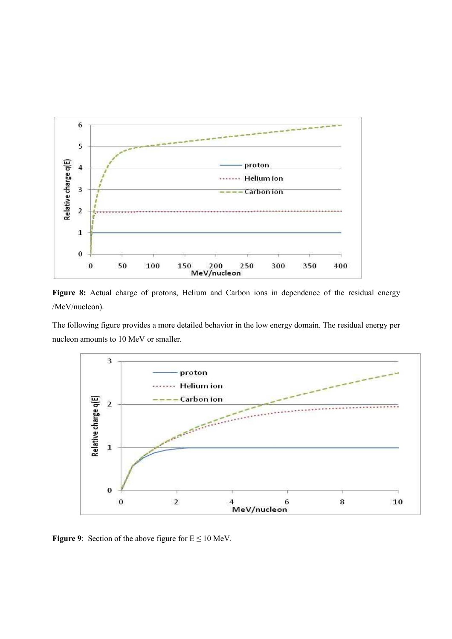

Figure 8: Actual charge of protons, Helium and Carbon ions in dependence of the residual energy /MeV/nucleon).

The following figure provides a more detailed behavior in the low energy domain. The residual energy per nucleon amounts to 10 MeV or smaller.



**Figure 9:** Section of the above figure for  $E \le 10$  MeV.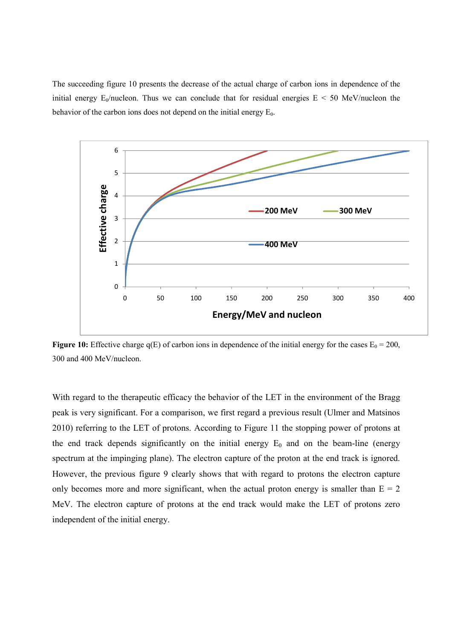The succeeding figure 10 presents the decrease of the actual charge of carbon ions in dependence of the initial energy  $E_0$ /nucleon. Thus we can conclude that for residual energies  $E < 50$  MeV/nucleon the behavior of the carbon ions does not depend on the initial energy  $E_0$ .



**Figure 10:** Effective charge  $q(E)$  of carbon ions in dependence of the initial energy for the cases  $E_0 = 200$ , 300 and 400 MeV/nucleon.

With regard to the therapeutic efficacy the behavior of the LET in the environment of the Bragg peak is very significant. For a comparison, we first regard a previous result (Ulmer and Matsinos 2010) referring to the LET of protons. According to Figure 11 the stopping power of protons at the end track depends significantly on the initial energy  $E_0$  and on the beam-line (energy spectrum at the impinging plane). The electron capture of the proton at the end track is ignored. However, the previous figure 9 clearly shows that with regard to protons the electron capture only becomes more and more significant, when the actual proton energy is smaller than  $E = 2$ MeV. The electron capture of protons at the end track would make the LET of protons zero independent of the initial energy.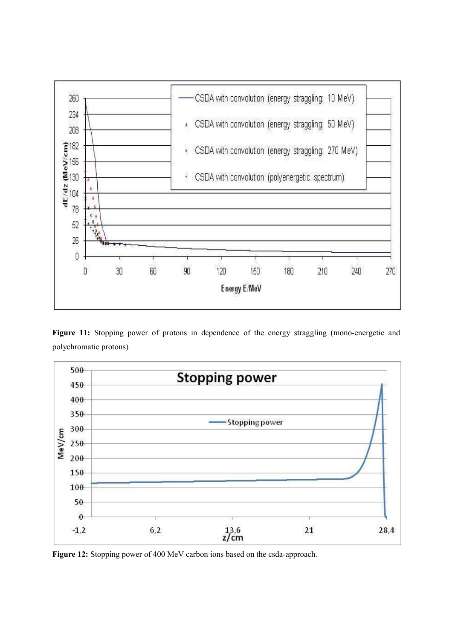

Figure 11: Stopping power of protons in dependence of the energy straggling (mono-energetic and polychromatic protons)



**Figure 12:** Stopping power of 400 MeV carbon ions based on the csda-approach.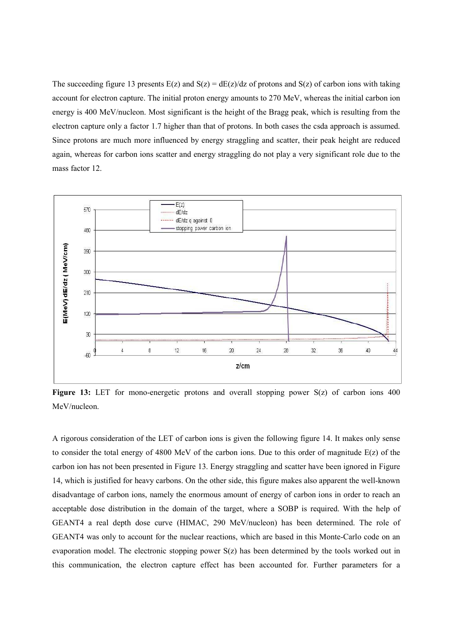The succeeding figure 13 presents  $E(z)$  and  $S(z) = dE(z)/dz$  of protons and  $S(z)$  of carbon ions with taking account for electron capture. The initial proton energy amounts to 270 MeV, whereas the initial carbon ion energy is 400 MeV/nucleon. Most significant is the height of the Bragg peak, which is resulting from the electron capture only a factor 1.7 higher than that of protons. In both cases the csda approach is assumed. Since protons are much more influenced by energy straggling and scatter, their peak height are reduced again, whereas for carbon ions scatter and energy straggling do not play a very significant role due to the mass factor 12.



Figure 13: LET for mono-energetic protons and overall stopping power S(z) of carbon ions 400 MeV/nucleon.

A rigorous consideration of the LET of carbon ions is given the following figure 14. It makes only sense to consider the total energy of 4800 MeV of the carbon ions. Due to this order of magnitude E(z) of the carbon ion has not been presented in Figure 13. Energy straggling and scatter have been ignored in Figure 14, which is justified for heavy carbons. On the other side, this figure makes also apparent the well-known disadvantage of carbon ions, namely the enormous amount of energy of carbon ions in order to reach an acceptable dose distribution in the domain of the target, where a SOBP is required. With the help of GEANT4 a real depth dose curve (HIMAC, 290 MeV/nucleon) has been determined. The role of GEANT4 was only to account for the nuclear reactions, which are based in this Monte-Carlo code on an evaporation model. The electronic stopping power S(z) has been determined by the tools worked out in this communication, the electron capture effect has been accounted for. Further parameters for a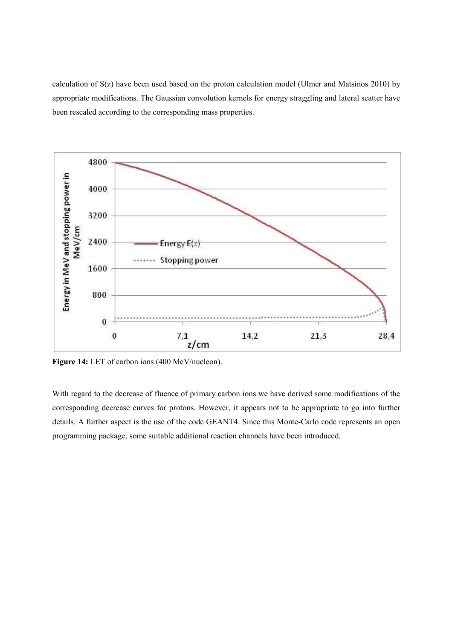calculation of S(z) have been used based on the proton calculation model (Ulmer and Matsinos 2010) by appropriate modifications. The Gaussian convolution kernels for energy straggling and lateral scatter have been rescaled according to the corresponding mass properties.



Figure 14: LET of carbon ions (400 MeV/nucleon).

With regard to the decrease of fluence of primary carbon ions we have derived some modifications of the corresponding decrease curves for protons. However, it appears not to be appropriate to go into further details. A further aspect is the use of the code GEANT4. Since this Monte-Carlo code represents an open programming package, some suitable additional reaction channels have been introduced.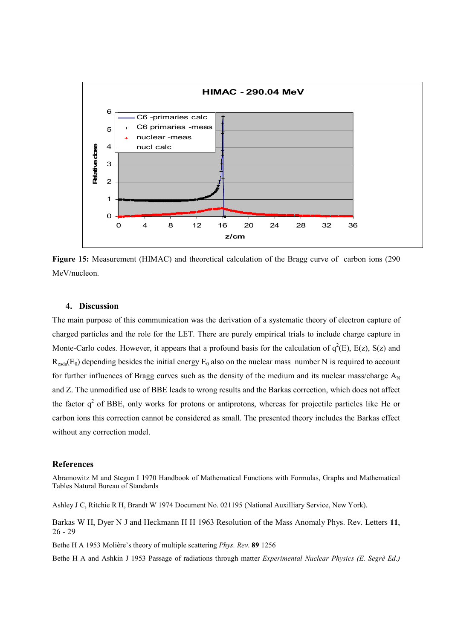

**Figure 15:** Measurement (HIMAC) and theoretical calculation of the Bragg curve of carbon ions (290 MeV/nucleon.

## **4. Discussion**

The main purpose of this communication was the derivation of a systematic theory of electron capture of charged particles and the role for the LET. There are purely empirical trials to include charge capture in Monte-Carlo codes. However, it appears that a profound basis for the calculation of  $q^2(E)$ ,  $E(z)$ ,  $S(z)$  and  $R_{csda}(E_0)$  depending besides the initial energy  $E_0$  also on the nuclear mass number N is required to account for further influences of Bragg curves such as the density of the medium and its nuclear mass/charge  $A_N$ and Z. The unmodified use of BBE leads to wrong results and the Barkas correction, which does not affect the factor  $q^2$  of BBE, only works for protons or antiprotons, whereas for projectile particles like He or carbon ions this correction cannot be considered as small. The presented theory includes the Barkas effect without any correction model.

## **References**

Abramowitz M and Stegun I 1970 Handbook of Mathematical Functions with Formulas, Graphs and Mathematical Tables Natural Bureau of Standards

Ashley J C, Ritchie R H, Brandt W 1974 Document No. 021195 (National Auxilliary Service, New York).

Barkas W H, Dyer N J and Heckmann H H 1963 Resolution of the Mass Anomaly Phys. Rev. Letters **11**, 26 - 29

Bethe H A 1953 Molière's theory of multiple scattering *Phys. Rev*. **89** 1256

Bethe H A and Ashkin J 1953 Passage of radiations through matter *Experimental Nuclear Physics (E. Segrè Ed.)*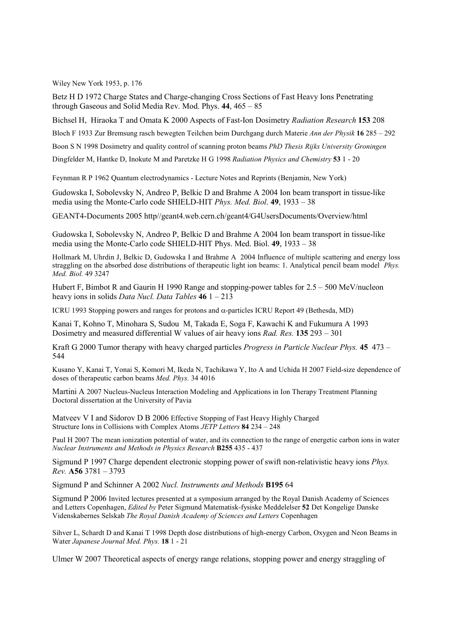Wiley New York 1953, p. 176

Betz H D 1972 Charge States and Charge-changing Cross Sections of Fast Heavy Ions Penetrating through Gaseous and Solid Media Rev. Mod. Phys. **44**, 465 – 85

Bichsel H, Hiraoka T and Omata K 2000 Aspects of Fast-Ion Dosimetry *Radiation Research* **153** 208

Bloch F 1933 Zur Bremsung rasch bewegten Teilchen beim Durchgang durch Materie *Ann der Physik* **16** 285 – 292

Boon S N 1998 Dosimetry and quality control of scanning proton beams *PhD Thesis Rijks University Groningen* 

Dingfelder M, Hantke D, Inokute M and Paretzke H G 1998 *Radiation Physics and Chemistry* **53** 1 - 20

Feynman R P 1962 Quantum electrodynamics - Lecture Notes and Reprints (Benjamin, New York)

Gudowska I, Sobolevsky N, Andreo P, Belkic D and Brahme A 2004 Ion beam transport in tissue-like media using the Monte-Carlo code SHIELD-HIT *Phys. Med. Biol*. **49**, 1933 – 38

GEANT4-Documents 2005 http//geant4.web.cern.ch/geant4/G4UsersDocuments/Overview/html

Gudowska I, Sobolevsky N, Andreo P, Belkic D and Brahme A 2004 Ion beam transport in tissue-like media using the Monte-Carlo code SHIELD-HIT Phys. Med. Biol. **49**, 1933 – 38

Hollmark M, Uhrdin J, Belkic D, Gudowska I and Brahme A 2004 Influence of multiple scattering and energy loss straggling on the absorbed dose distributions of therapeutic light ion beams: 1. Analytical pencil beam model *Phys. Med. Biol.* 49 3247

Hubert F, Bimbot R and Gaurin H 1990 Range and stopping-power tables for 2.5 – 500 MeV/nucleon heavy ions in solids *Data Nucl. Data Tables* **46** 1 – 213

ICRU 1993 Stopping powers and ranges for protons and α-particles ICRU Report 49 (Bethesda, MD)

Kanai T, Kohno T, Minohara S, Sudou M, Takada E, Soga F, Kawachi K and Fukumura A 1993 Dosimetry and measured differential W values of air heavy ions *Rad. Res.* **135** 293 – 301

Kraft G 2000 Tumor therapy with heavy charged particles *Progress in Particle Nuclear Phys.* **45** 473 – 544

Kusano Y, Kanai T, Yonai S, Komori M, Ikeda N, Tachikawa Y, Ito A and Uchida H 2007 Field-size dependence of doses of therapeutic carbon beams *Med. Phys.* 34 4016

Martini A 2007 Nucleus-Nucleus Interaction Modeling and Applications in Ion Therapy Treatment Planning Doctoral dissertation at the University of Pavia

Matveev V I and Sidorov D B 2006 Effective Stopping of Fast Heavy Highly Charged Structure Ions in Collisions with Complex Atoms *JETP Letters* **84** 234 – 248

Paul H 2007 The mean ionization potential of water, and its connection to the range of energetic carbon ions in water *Nuclear Instruments and Methods in Physics Research* **B255** 435 - 437

Sigmund P 1997 Charge dependent electronic stopping power of swift non-relativistic heavy ions *Phys. Rev.* **A56** 3781 – 3793

Sigmund P and Schinner A 2002 *Nucl. Instruments and Methods* **B195** 64

Sigmund P 2006 Invited lectures presented at a symposium arranged by the Royal Danish Academy of Sciences and Letters Copenhagen, *Edited by* Peter Sigmund Matematisk-fysiske Meddelelser **52** Det Kongelige Danske Videnskabernes Selskab *The Royal Danish Academy of Sciences and Letters* Copenhagen

Sihver L, Schardt D and Kanai T 1998 Depth dose distributions of high-energy Carbon, Oxygen and Neon Beams in Water *Japanese Journal Med. Phys.* **18** 1 - 21

Ulmer W 2007 Theoretical aspects of energy range relations, stopping power and energy straggling of